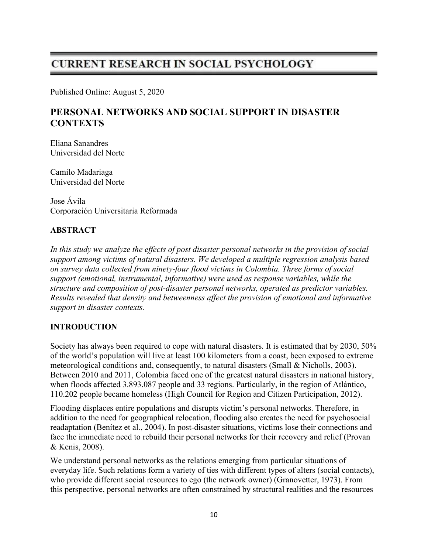# **CURRENT RESEARCH IN SOCIAL PSYCHOLOGY**

Published Online: August 5, 2020

# PERSONAL NETWORKS AND SOCIAL SUPPORT IN DISASTER **CONTEXTS**

Eliana Sanandres Universidad del Norte

Camilo Madariaga Universidad del Norte

Jose Ávila Corporación Universitaria Reformada

# ABSTRACT

In this study we analyze the effects of post disaster personal networks in the provision of social support among victims of natural disasters. We developed a multiple regression analysis based on survey data collected from ninety-four flood victims in Colombia. Three forms of social support (emotional, instrumental, informative) were used as response variables, while the structure and composition of post-disaster personal networks, operated as predictor variables. Results revealed that density and betweenness affect the provision of emotional and informative support in disaster contexts.

# INTRODUCTION

Society has always been required to cope with natural disasters. It is estimated that by 2030, 50% of the world's population will live at least 100 kilometers from a coast, been exposed to extreme meteorological conditions and, consequently, to natural disasters (Small & Nicholls, 2003). Between 2010 and 2011, Colombia faced one of the greatest natural disasters in national history, when floods affected 3.893.087 people and 33 regions. Particularly, in the region of Atlántico, 110.202 people became homeless (High Council for Region and Citizen Participation, 2012).

Flooding displaces entire populations and disrupts victim's personal networks. Therefore, in addition to the need for geographical relocation, flooding also creates the need for psychosocial readaptation (Benítez et al., 2004). In post-disaster situations, victims lose their connections and face the immediate need to rebuild their personal networks for their recovery and relief (Provan & Kenis, 2008).

We understand personal networks as the relations emerging from particular situations of everyday life. Such relations form a variety of ties with different types of alters (social contacts), who provide different social resources to ego (the network owner) (Granovetter, 1973). From this perspective, personal networks are often constrained by structural realities and the resources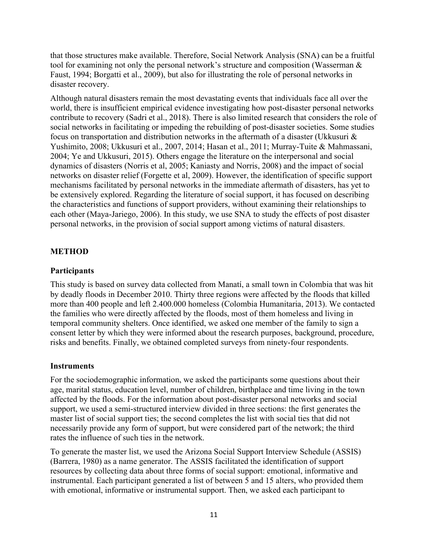that those structures make available. Therefore, Social Network Analysis (SNA) can be a fruitful tool for examining not only the personal network's structure and composition (Wasserman & Faust, 1994; Borgatti et al., 2009), but also for illustrating the role of personal networks in disaster recovery.

Although natural disasters remain the most devastating events that individuals face all over the world, there is insufficient empirical evidence investigating how post-disaster personal networks contribute to recovery (Sadri et al., 2018). There is also limited research that considers the role of social networks in facilitating or impeding the rebuilding of post-disaster societies. Some studies focus on transportation and distribution networks in the aftermath of a disaster (Ukkusuri & Yushimito, 2008; Ukkusuri et al., 2007, 2014; Hasan et al., 2011; Murray-Tuite & Mahmassani, 2004; Ye and Ukkusuri, 2015). Others engage the literature on the interpersonal and social dynamics of disasters (Norris et al, 2005; Kaniasty and Norris, 2008) and the impact of social networks on disaster relief (Forgette et al, 2009). However, the identification of specific support mechanisms facilitated by personal networks in the immediate aftermath of disasters, has yet to be extensively explored. Regarding the literature of social support, it has focused on describing the characteristics and functions of support providers, without examining their relationships to each other (Maya-Jariego, 2006). In this study, we use SNA to study the effects of post disaster personal networks, in the provision of social support among victims of natural disasters.

#### **METHOD**

#### **Participants**

This study is based on survey data collected from Manatí, a small town in Colombia that was hit by deadly floods in December 2010. Thirty three regions were affected by the floods that killed more than 400 people and left 2.400.000 homeless (Colombia Humanitaria, 2013). We contacted the families who were directly affected by the floods, most of them homeless and living in temporal community shelters. Once identified, we asked one member of the family to sign a consent letter by which they were informed about the research purposes, background, procedure, risks and benefits. Finally, we obtained completed surveys from ninety-four respondents.

#### **Instruments**

For the sociodemographic information, we asked the participants some questions about their age, marital status, education level, number of children, birthplace and time living in the town affected by the floods. For the information about post-disaster personal networks and social support, we used a semi-structured interview divided in three sections: the first generates the master list of social support ties; the second completes the list with social ties that did not necessarily provide any form of support, but were considered part of the network; the third rates the influence of such ties in the network.

To generate the master list, we used the Arizona Social Support Interview Schedule (ASSIS) (Barrera, 1980) as a name generator. The ASSIS facilitated the identification of support resources by collecting data about three forms of social support: emotional, informative and instrumental. Each participant generated a list of between 5 and 15 alters, who provided them with emotional, informative or instrumental support. Then, we asked each participant to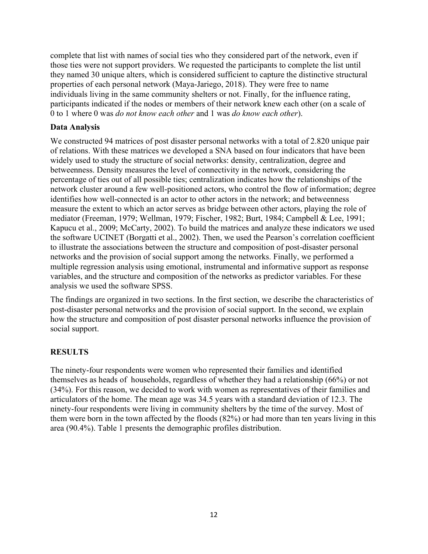complete that list with names of social ties who they considered part of the network, even if those ties were not support providers. We requested the participants to complete the list until they named 30 unique alters, which is considered sufficient to capture the distinctive structural properties of each personal network (Maya-Jariego, 2018). They were free to name individuals living in the same community shelters or not. Finally, for the influence rating, participants indicated if the nodes or members of their network knew each other (on a scale of 0 to 1 where 0 was do not know each other and 1 was do know each other).

## Data Analysis

We constructed 94 matrices of post disaster personal networks with a total of 2.820 unique pair of relations. With these matrices we developed a SNA based on four indicators that have been widely used to study the structure of social networks: density, centralization, degree and betweenness. Density measures the level of connectivity in the network, considering the percentage of ties out of all possible ties; centralization indicates how the relationships of the network cluster around a few well-positioned actors, who control the flow of information; degree identifies how well-connected is an actor to other actors in the network; and betweenness measure the extent to which an actor serves as bridge between other actors, playing the role of mediator (Freeman, 1979; Wellman, 1979; Fischer, 1982; Burt, 1984; Campbell & Lee, 1991; Kapucu et al., 2009; McCarty, 2002). To build the matrices and analyze these indicators we used the software UCINET (Borgatti et al., 2002). Then, we used the Pearson's correlation coefficient to illustrate the associations between the structure and composition of post-disaster personal networks and the provision of social support among the networks. Finally, we performed a multiple regression analysis using emotional, instrumental and informative support as response variables, and the structure and composition of the networks as predictor variables. For these analysis we used the software SPSS.

The findings are organized in two sections. In the first section, we describe the characteristics of post-disaster personal networks and the provision of social support. In the second, we explain how the structure and composition of post disaster personal networks influence the provision of social support.

# **RESULTS**

The ninety-four respondents were women who represented their families and identified themselves as heads of households, regardless of whether they had a relationship (66%) or not (34%). For this reason, we decided to work with women as representatives of their families and articulators of the home. The mean age was 34.5 years with a standard deviation of 12.3. The ninety-four respondents were living in community shelters by the time of the survey. Most of them were born in the town affected by the floods (82%) or had more than ten years living in this area (90.4%). Table 1 presents the demographic profiles distribution.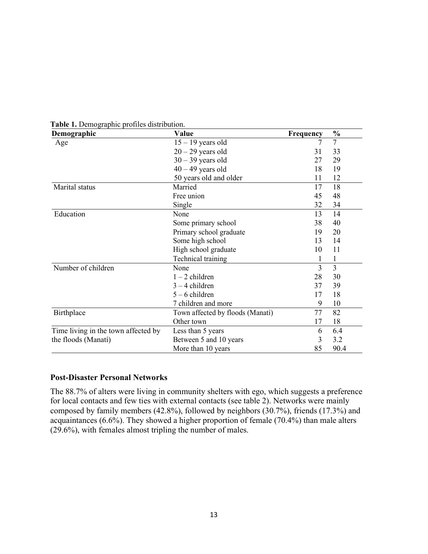| Demographic                         | Value                            | Frequency | $\frac{0}{0}$  |
|-------------------------------------|----------------------------------|-----------|----------------|
| Age                                 | $15 - 19$ years old              | 7         | 7              |
|                                     | $20 - 29$ years old              | 31        | 33             |
|                                     | $30 - 39$ years old              | 27        | 29             |
|                                     | $40 - 49$ years old              | 18        | 19             |
|                                     | 50 years old and older           | 11        | 12             |
| Marital status                      | Married                          | 17        | 18             |
|                                     | Free union                       | 45        | 48             |
|                                     | Single                           | 32        | 34             |
| Education                           | None                             | 13        | 14             |
|                                     | Some primary school              | 38        | 40             |
|                                     | Primary school graduate          | 19        | 20             |
|                                     | Some high school                 | 13        | 14             |
|                                     | High school graduate             | 10        | 11             |
|                                     | Technical training               |           |                |
| Number of children                  | None                             | 3         | $\overline{3}$ |
|                                     | $1 - 2$ children                 | 28        | 30             |
|                                     | $3 - 4$ children                 | 37        | 39             |
|                                     | $5 - 6$ children                 | 17        | 18             |
|                                     | 7 children and more              | 9         | 10             |
| Birthplace                          | Town affected by floods (Manatí) | 77        | 82             |
|                                     | Other town                       | 17        | 18             |
| Time living in the town affected by | Less than 5 years                | 6         | 6.4            |
| the floods (Manatí)                 | Between 5 and 10 years           | 3         | 3.2            |
|                                     | More than 10 years               | 85        | 90.4           |

Table 1. Demographic profiles distribution.

#### Post-Disaster Personal Networks

The 88.7% of alters were living in community shelters with ego, which suggests a preference for local contacts and few ties with external contacts (see table 2). Networks were mainly composed by family members (42.8%), followed by neighbors (30.7%), friends (17.3%) and acquaintances (6.6%). They showed a higher proportion of female (70.4%) than male alters (29.6%), with females almost tripling the number of males.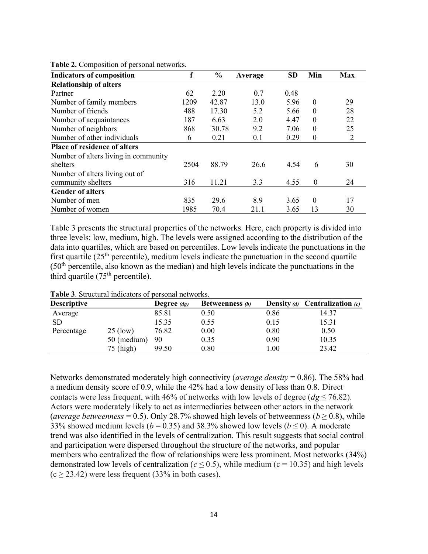| <b>Indicators of composition</b>     |      | $\frac{0}{0}$ | Average | <b>SD</b> | Min              | <b>Max</b> |
|--------------------------------------|------|---------------|---------|-----------|------------------|------------|
| <b>Relationship of alters</b>        |      |               |         |           |                  |            |
| Partner                              | 62   | 2.20          | 0.7     | 0.48      |                  |            |
| Number of family members             | 1209 | 42.87         | 13.0    | 5.96      | $\theta$         | 29         |
| Number of friends                    | 488  | 17.30         | 5.2     | 5.66      | $\theta$         | 28         |
| Number of acquaintances              | 187  | 6.63          | 2.0     | 4.47      | $\theta$         | 22         |
| Number of neighbors                  | 868  | 30.78         | 9.2     | 7.06      | $\overline{0}$   | 25         |
| Number of other individuals          | 6    | 0.21          | 0.1     | 0.29      | $\overline{0}$   | 2          |
| <b>Place of residence of alters</b>  |      |               |         |           |                  |            |
| Number of alters living in community |      |               |         |           |                  |            |
| shelters                             | 2504 | 88.79         | 26.6    | 4.54      | 6                | 30         |
| Number of alters living out of       |      |               |         |           |                  |            |
| community shelters                   | 316  | 11.21         | 3.3     | 4.55      | $\boldsymbol{0}$ | 24         |
| <b>Gender of alters</b>              |      |               |         |           |                  |            |
| Number of men                        | 835  | 29.6          | 8.9     | 3.65      | $\theta$         | 17         |
| Number of women                      | 1985 | 70.4          | 21.1    | 3.65      | 13               | 30         |

Table 2. Composition of personal networks.

Table 3 presents the structural properties of the networks. Here, each property is divided into three levels: low, medium, high. The levels were assigned according to the distribution of the data into quartiles, which are based on percentiles. Low levels indicate the punctuations in the first quartile  $(25<sup>th</sup>$  percentile), medium levels indicate the punctuation in the second quartile  $(50<sup>th</sup>$  percentile, also known as the median) and high levels indicate the punctuations in the third quartile  $(75<sup>th</sup>$  percentile).

| <b>Descriptive</b> |             | Degree $(dg)$ | <b>Betweenness</b> (b) |      | Density (d) Centralization $(c)$ |
|--------------------|-------------|---------------|------------------------|------|----------------------------------|
|                    |             |               |                        |      |                                  |
| Average            |             | 85.81         | 0.50                   | 0.86 | 14.37                            |
| <sub>SD</sub>      |             | 15.35         | 0.55                   | 0.15 | 15.31                            |
| Percentage         | $25$ (low)  | 76.82         | 0.00                   | 0.80 | 0.50                             |
|                    | 50 (medium) | 90            | 0.35                   | 0.90 | 10.35                            |
|                    | $75$ (high) | 99.50         | 0.80                   | 00.  | 23.42                            |

Table 3. Structural indicators of personal networks.

Networks demonstrated moderately high connectivity (*average density* =  $0.86$ ). The 58% had a medium density score of 0.9, while the 42% had a low density of less than 0.8. Direct contacts were less frequent, with 46% of networks with low levels of degree ( $dg \le 76.82$ ). Actors were moderately likely to act as intermediaries between other actors in the network (average betweenness = 0.5). Only 28.7% showed high levels of betweenness ( $b \ge 0.8$ ), while 33% showed medium levels ( $b = 0.35$ ) and 38.3% showed low levels ( $b \le 0$ ). A moderate trend was also identified in the levels of centralization. This result suggests that social control and participation were dispersed throughout the structure of the networks, and popular members who centralized the flow of relationships were less prominent. Most networks (34%) demonstrated low levels of centralization ( $c \le 0.5$ ), while medium ( $c = 10.35$ ) and high levels  $(c \ge 23.42)$  were less frequent (33% in both cases).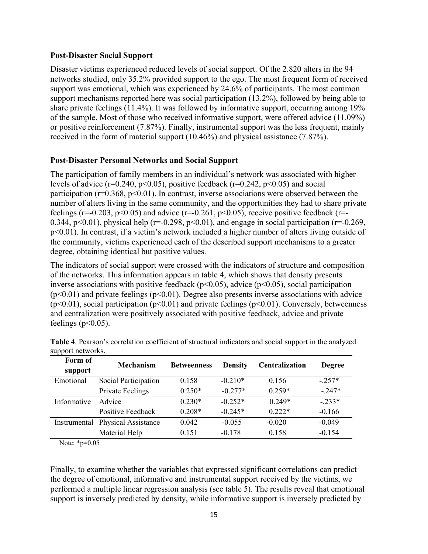### Post-Disaster Social Support

Disaster victims experienced reduced levels of social support. Of the 2.820 alters in the 94 networks studied, only 35.2% provided support to the ego. The most frequent form of received support was emotional, which was experienced by 24.6% of participants. The most common support mechanisms reported here was social participation (13.2%), followed by being able to share private feelings (11.4%). It was followed by informative support, occurring among 19% of the sample. Most of those who received informative support, were offered advice (11.09%) or positive reinforcement (7.87%). Finally, instrumental support was the less frequent, mainly received in the form of material support (10.46%) and physical assistance (7.87%).

# Post-Disaster Personal Networks and Social Support

The participation of family members in an individual's network was associated with higher levels of advice ( $r=0.240$ ,  $p<0.05$ ), positive feedback ( $r=0.242$ ,  $p<0.05$ ) and social participation ( $r=0.368$ ,  $p<0.01$ ). In contrast, inverse associations were observed between the number of alters living in the same community, and the opportunities they had to share private feelings (r=-0.203, p<0.05) and advice (r=-0.261, p<0.05), receive positive feedback (r=-0.344, p<0.01), physical help ( $r=-0.298$ , p<0.01), and engage in social participation ( $r=-0.269$ , p<0.01). In contrast, if a victim's network included a higher number of alters living outside of the community, victims experienced each of the described support mechanisms to a greater degree, obtaining identical but positive values.

The indicators of social support were crossed with the indicators of structure and composition of the networks. This information appears in table 4, which shows that density presents inverse associations with positive feedback ( $p<0.05$ ), advice ( $p<0.05$ ), social participation  $(p<0.01)$  and private feelings  $(p<0.01)$ . Degree also presents inverse associations with advice ( $p$ <0.01), social participation ( $p$ <0.01) and private feelings ( $p$ <0.01). Conversely, betweenness and centralization were positively associated with positive feedback, advice and private feelings ( $p<0.05$ ).

| Form of<br>support | <b>Mechanism</b>                 | <b>Betweenness</b> | <b>Density</b> | <b>Centralization</b> | <b>Degree</b> |
|--------------------|----------------------------------|--------------------|----------------|-----------------------|---------------|
| Emotional          | Social Participation             | 0.158              | $-0.210*$      | 0.156                 | $-.257*$      |
|                    | Private Feelings                 | $0.250*$           | $-0.277*$      | $0.259*$              | $-.247*$      |
| Informative        | Advice                           | $0.230*$           | $-0.252*$      | $0.249*$              | $-.233*$      |
|                    | Positive Feedback                | $0.208*$           | $-0.245*$      | $0.222*$              | $-0.166$      |
|                    | Instrumental Physical Assistance | 0.042              | $-0.055$       | $-0.020$              | $-0.049$      |
|                    | Material Help                    | 0.151              | $-0.178$       | 0.158                 | $-0.154$      |

Table 4. Pearson's correlation coefficient of structural indicators and social support in the analyzed support networks.

Note: \*p=0.05

Finally, to examine whether the variables that expressed significant correlations can predict the degree of emotional, informative and instrumental support received by the victims, we performed a multiple linear regression analysis (see table 5). The results reveal that emotional support is inversely predicted by density, while informative support is inversely predicted by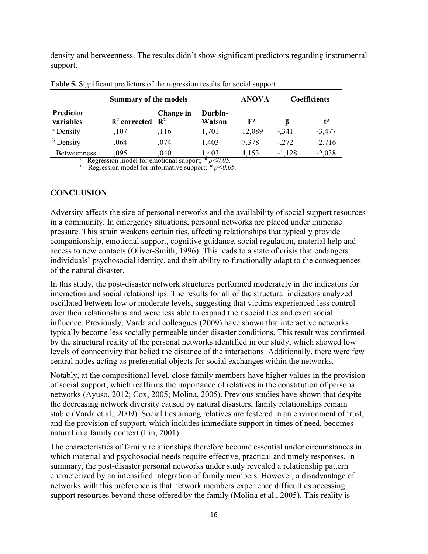density and betweenness. The results didn't show significant predictors regarding instrumental support.

|                               | <b>Summary of the models</b> |                             |                   | <b>ANOVA</b>   | <b>Coefficients</b> |                |
|-------------------------------|------------------------------|-----------------------------|-------------------|----------------|---------------------|----------------|
| <b>Predictor</b><br>variables | $R^2$ corrected              | Change in<br>$\mathbf{R}^2$ | Durbin-<br>Watson | $\mathbf{F}^*$ |                     | $\mathbf{t}^*$ |
| <sup>a</sup> Density          | .107                         | .116                        | 1,701             | 12,089         | $-.341$             | $-3,477$       |
| <sup>b</sup> Density          | .064                         | ,074                        | 1,403             | 7,378          | $-.272$             | $-2,716$       |
| <b>Betweenness</b>            | .095                         | ,040                        | 1,403             | 4.153          | $-1.128$            | $-2,038$       |

Table 5. Significant predictors of the regression results for social support .

<sup>a</sup> Regression model for emotional support;  $*_{p<0.05}$ .

<sup>b</sup> Regression model for informative support;  $* p < 0.05$ .

### **CONCLUSION**

Adversity affects the size of personal networks and the availability of social support resources in a community. In emergency situations, personal networks are placed under immense pressure. This strain weakens certain ties, affecting relationships that typically provide companionship, emotional support, cognitive guidance, social regulation, material help and access to new contacts (Oliver-Smith, 1996). This leads to a state of crisis that endangers individuals' psychosocial identity, and their ability to functionally adapt to the consequences of the natural disaster.

In this study, the post-disaster network structures performed moderately in the indicators for interaction and social relationships. The results for all of the structural indicators analyzed oscillated between low or moderate levels, suggesting that victims experienced less control over their relationships and were less able to expand their social ties and exert social influence. Previously, Varda and colleagues (2009) have shown that interactive networks typically become less socially permeable under disaster conditions. This result was confirmed by the structural reality of the personal networks identified in our study, which showed low levels of connectivity that belied the distance of the interactions. Additionally, there were few central nodes acting as preferential objects for social exchanges within the networks.

Notably, at the compositional level, close family members have higher values in the provision of social support, which reaffirms the importance of relatives in the constitution of personal networks (Ayuso, 2012; Cox, 2005; Molina, 2005). Previous studies have shown that despite the decreasing network diversity caused by natural disasters, family relationships remain stable (Varda et al., 2009). Social ties among relatives are fostered in an environment of trust, and the provision of support, which includes immediate support in times of need, becomes natural in a family context (Lin, 2001).

The characteristics of family relationships therefore become essential under circumstances in which material and psychosocial needs require effective, practical and timely responses. In summary, the post-disaster personal networks under study revealed a relationship pattern characterized by an intensified integration of family members. However, a disadvantage of networks with this preference is that network members experience difficulties accessing support resources beyond those offered by the family (Molina et al., 2005). This reality is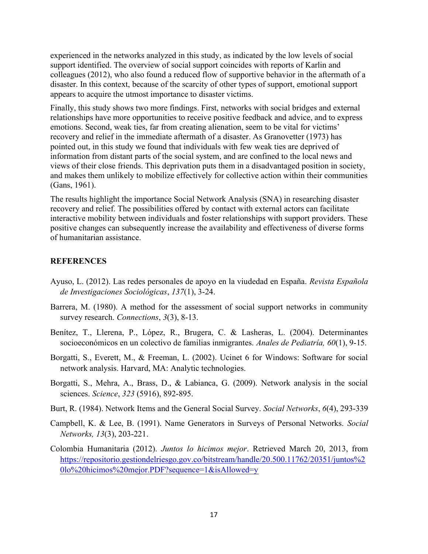experienced in the networks analyzed in this study, as indicated by the low levels of social support identified. The overview of social support coincides with reports of Karlin and colleagues (2012), who also found a reduced flow of supportive behavior in the aftermath of a disaster. In this context, because of the scarcity of other types of support, emotional support appears to acquire the utmost importance to disaster victims.

Finally, this study shows two more findings. First, networks with social bridges and external relationships have more opportunities to receive positive feedback and advice, and to express emotions. Second, weak ties, far from creating alienation, seem to be vital for victims' recovery and relief in the immediate aftermath of a disaster. As Granovetter (1973) has pointed out, in this study we found that individuals with few weak ties are deprived of information from distant parts of the social system, and are confined to the local news and views of their close friends. This deprivation puts them in a disadvantaged position in society, and makes them unlikely to mobilize effectively for collective action within their communities (Gans, 1961).

The results highlight the importance Social Network Analysis (SNA) in researching disaster recovery and relief. The possibilities offered by contact with external actors can facilitate interactive mobility between individuals and foster relationships with support providers. These positive changes can subsequently increase the availability and effectiveness of diverse forms of humanitarian assistance.

### **REFERENCES**

- Ayuso, L. (2012). Las redes personales de apoyo en la viudedad en España. Revista Española de Investigaciones Sociológicas, 137(1), 3-24.
- Barrera, M. (1980). A method for the assessment of social support networks in community survey research. Connections, 3(3), 8-13.
- Benítez, T., Llerena, P., López, R., Brugera, C. & Lasheras, L. (2004). Determinantes socioeconómicos en un colectivo de familias inmigrantes. Anales de Pediatría, 60(1), 9-15.
- Borgatti, S., Everett, M., & Freeman, L. (2002). Ucinet 6 for Windows: Software for social network analysis. Harvard, MA: Analytic technologies.
- Borgatti, S., Mehra, A., Brass, D., & Labianca, G. (2009). Network analysis in the social sciences. Science, 323 (5916), 892-895.
- Burt, R. (1984). Network Items and the General Social Survey. Social Networks, 6(4), 293-339
- Campbell, K. & Lee, B. (1991). Name Generators in Surveys of Personal Networks. Social Networks, 13(3), 203-221.
- Colombia Humanitaria (2012). Juntos lo hicimos mejor. Retrieved March 20, 2013, from https://repositorio.gestiondelriesgo.gov.co/bitstream/handle/20.500.11762/20351/juntos%2 0lo%20hicimos%20mejor.PDF?sequence=1&isAllowed=y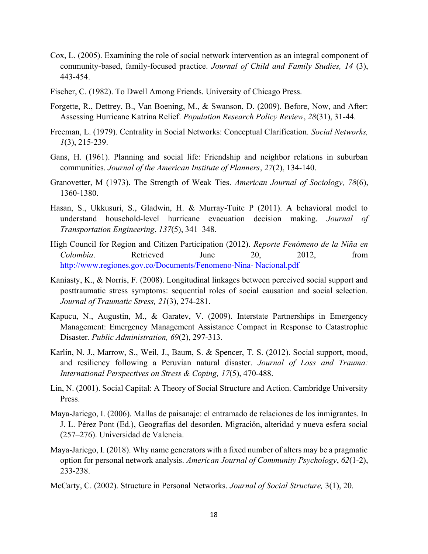- Cox, L. (2005). Examining the role of social network intervention as an integral component of community-based, family-focused practice. Journal of Child and Family Studies, 14 (3), 443-454.
- Fischer, C. (1982). To Dwell Among Friends. University of Chicago Press.
- Forgette, R., Dettrey, B., Van Boening, M., & Swanson, D. (2009). Before, Now, and After: Assessing Hurricane Katrina Relief. Population Research Policy Review, 28(31), 31-44.
- Freeman, L. (1979). Centrality in Social Networks: Conceptual Clarification. Social Networks, 1(3), 215-239.
- Gans, H. (1961). Planning and social life: Friendship and neighbor relations in suburban communities. Journal of the American Institute of Planners, 27(2), 134-140.
- Granovetter, M (1973). The Strength of Weak Ties. American Journal of Sociology, 78(6), 1360-1380.
- Hasan, S., Ukkusuri, S., Gladwin, H. & Murray-Tuite P (2011). A behavioral model to understand household-level hurricane evacuation decision making. Journal of Transportation Engineering, 137(5), 341–348.
- High Council for Region and Citizen Participation (2012). Reporte Fenómeno de la Niña en Colombia. Retrieved June 20, 2012, from http://www.regiones.gov.co/Documents/Fenomeno-Nina- Nacional.pdf
- Kaniasty, K., & Norris, F. (2008). Longitudinal linkages between perceived social support and posttraumatic stress symptoms: sequential roles of social causation and social selection. Journal of Traumatic Stress, 21(3), 274-281.
- Kapucu, N., Augustin, M., & Garatev, V. (2009). Interstate Partnerships in Emergency Management: Emergency Management Assistance Compact in Response to Catastrophic Disaster. Public Administration, 69(2), 297-313.
- Karlin, N. J., Marrow, S., Weil, J., Baum, S. & Spencer, T. S. (2012). Social support, mood, and resiliency following a Peruvian natural disaster. Journal of Loss and Trauma: International Perspectives on Stress & Coping, 17(5), 470-488.
- Lin, N. (2001). Social Capital: A Theory of Social Structure and Action. Cambridge University Press.
- Maya-Jariego, I. (2006). Mallas de paisanaje: el entramado de relaciones de los inmigrantes. In J. L. Pérez Pont (Ed.), Geografías del desorden. Migración, alteridad y nueva esfera social (257–276). Universidad de Valencia.
- Maya-Jariego, I. (2018). Why name generators with a fixed number of alters may be a pragmatic option for personal network analysis. American Journal of Community Psychology, 62(1-2), 233-238.
- McCarty, C. (2002). Structure in Personal Networks. Journal of Social Structure, 3(1), 20.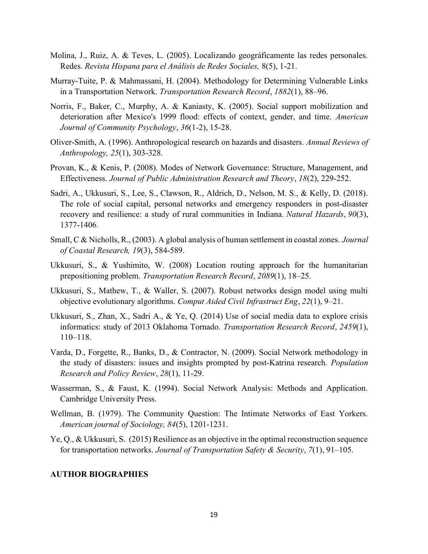- Molina, J., Ruiz, A. & Teves, L. (2005). Localizando geográficamente las redes personales. Redes. Revista Hispana para el Análisis de Redes Sociales, 8(5), 1-21.
- Murray-Tuite, P. & Mahmassani, H. (2004). Methodology for Determining Vulnerable Links in a Transportation Network. Transportation Research Record, 1882(1), 88–96.
- Norris, F., Baker, C., Murphy, A. & Kaniasty, K. (2005). Social support mobilization and deterioration after Mexico's 1999 flood: effects of context, gender, and time. American Journal of Community Psychology, 36(1-2), 15-28.
- Oliver-Smith, A. (1996). Anthropological research on hazards and disasters. Annual Reviews of Anthropology, 25(1), 303-328.
- Provan, K., & Kenis, P. (2008). Modes of Network Governance: Structure, Management, and Effectiveness. Journal of Public Administration Research and Theory, 18(2), 229-252.
- Sadri, A., Ukkusuri, S., Lee, S., Clawson, R., Aldrich, D., Nelson, M. S., & Kelly, D. (2018). The role of social capital, personal networks and emergency responders in post-disaster recovery and resilience: a study of rural communities in Indiana. Natural Hazards, 90(3), 1377-1406.
- Small, C & Nicholls, R., (2003). A global analysis of human settlement in coastal zones. Journal of Coastal Research, 19(3), 584-589.
- Ukkusuri, S., & Yushimito, W. (2008) Location routing approach for the humanitarian prepositioning problem. Transportation Research Record, 2089(1), 18–25.
- Ukkusuri, S., Mathew, T., & Waller, S. (2007). Robust networks design model using multi objective evolutionary algorithms. Comput Aided Civil Infrastruct Eng, 22(1), 9–21.
- Ukkusuri, S., Zhan, X., Sadri A., & Ye, Q. (2014) Use of social media data to explore crisis informatics: study of 2013 Oklahoma Tornado. Transportation Research Record, 2459(1), 110–118.
- Varda, D., Forgette, R., Banks, D., & Contractor, N. (2009). Social Network methodology in the study of disasters: issues and insights prompted by post-Katrina research. Population Research and Policy Review, 28(1), 11-29.
- Wasserman, S., & Faust, K. (1994). Social Network Analysis: Methods and Application. Cambridge University Press.
- Wellman, B. (1979). The Community Question: The Intimate Networks of East Yorkers. American journal of Sociology, 84(5), 1201-1231.
- Ye, Q., & Ukkusuri, S. (2015) Resilience as an objective in the optimal reconstruction sequence for transportation networks. Journal of Transportation Safety & Security, 7(1), 91–105.

#### AUTHOR BIOGRAPHIES